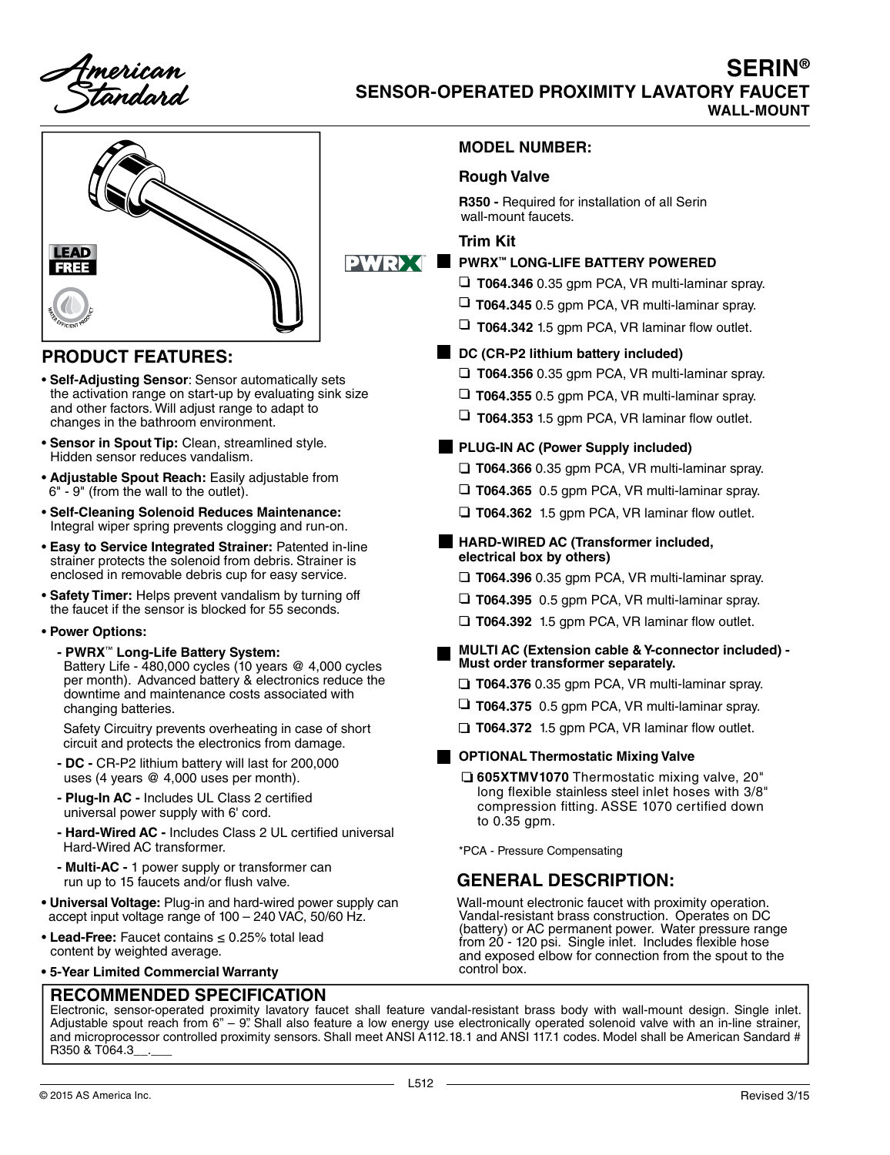tandard

## **SERIN® SENSOR-OPERATED PROXIMITY LAVATORY FAUCET WALL-MOUNT**



## **PRODUCT FEATURES:**

- **Self-Adjusting Sensor**: Sensor automatically sets the activation range on start-up by evaluating sink size and other factors. Will adjust range to adapt to changes in the bathroom environment.
- **Sensor in Spout Tip:** Clean, streamlined style. Hidden sensor reduces vandalism.
- **Adjustable Spout Reach:** Easily adjustable from 6" - 9" (from the wall to the outlet).
- **Self-Cleaning Solenoid Reduces Maintenance:** Integral wiper spring prevents clogging and run-on.
- **Easy to Service Integrated Strainer:** Patented in-line strainer protects the solenoid from debris. Strainer is enclosed in removable debris cup for easy service.
- **Safety Timer:** Helps prevent vandalism by turning off the faucet if the sensor is blocked for 55 seconds.

#### • **Power Options:**

**- PWRX**™ **Long-Life Battery System:**

 Battery Life - 480,000 cycles (10 years @ 4,000 cycles per month). Advanced battery & electronics reduce the downtime and maintenance costs associated with changing batteries.

 Safety Circuitry prevents overheating in case of short circuit and protects the electronics from damage.

- **DC -** CR-P2 lithium battery will last for 200,000 uses (4 years @ 4,000 uses per month).
- **Plug-In AC -** Includes UL Class 2 certified universal power supply with 6' cord.
- **Hard-Wired AC -** Includes Class 2 UL certified universal Hard-Wired AC transformer.
- **Multi-AC -** 1 power supply or transformer can run up to 15 faucets and/or flush valve.
- **Universal Voltage:** Plug-in and hard-wired power supply can accept input voltage range of 100 – 240 VAC, 50/60 Hz.
- **Lead-Free:** Faucet contains ≤ 0.25% total lead content by weighted average.
- **5-Year Limited Commercial Warranty**

## **RECOMMENDED SPECIFICATION**

#### **MODEL NUMBER:**

#### **Rough Valve**

**R350 -** Required for installation of all Serin wall-mount faucets.

### **Trim Kit**

#### **PWRX** PWRX™ LONG-LIFE BATTERY POWERED

- **T064.346** 0.35 gpm PCA, VR multi-laminar spray.
- **T064.345** 0.5 gpm PCA, VR multi-laminar spray.
- **T064.342** 1.5 gpm PCA, VR laminar flow outlet.

#### **DC (CR-P2 lithium battery included)**

- **T064.356** 0.35 gpm PCA, VR multi-laminar spray.
- **T064.355** 0.5 gpm PCA, VR multi-laminar spray.
- **T064.353** 1.5 gpm PCA, VR laminar flow outlet.

#### **PLUG-IN AC (Power Supply included)**

- **T064.366** 0.35 gpm PCA, VR multi-laminar spray.
- **T064.365** 0.5 gpm PCA, VR multi-laminar spray.
- **T064.362** 1.5 gpm PCA, VR laminar flow outlet.
- **HARD-WIRED AC (Transformer included, electrical box by others)**
	- **T064.396** 0.35 gpm PCA, VR multi-laminar spray.
	- **T064.395** 0.5 gpm PCA, VR multi-laminar spray.
	- **T064.392** 1.5 gpm PCA, VR laminar flow outlet.
- **MULTI AC (Extension cable & Y-connector included) Must order transformer separately.**
	- **T064.376** 0.35 gpm PCA, VR multi-laminar spray.
	- **T064.375** 0.5 gpm PCA, VR multi-laminar spray.
	- **T064.372** 1.5 gpm PCA, VR laminar flow outlet.

#### **OPTIONAL Thermostatic Mixing Valve**

 **605XTMV1070** Thermostatic mixing valve, 20" long flexible stainless steel inlet hoses with 3/8" compression fitting. ASSE 1070 certified down to 0.35 gpm.

\*PCA - Pressure Compensating

## **GENERAL DESCRIPTION:**

Wall-mount electronic faucet with proximity operation. Vandal-resistant brass construction. Operates on DC (battery) or AC permanent power. Water pressure range from 20 - 120 psi. Single inlet. Includes flexible hose and exposed elbow for connection from the spout to the control box.

Electronic, sensor-operated proximity lavatory faucet shall feature vandal-resistant brass body with wall-mount design. Single inlet. Adjustable spout reach from 6" – 9". Shall also feature a low energy use electronically operated solenoid valve with an in-line strainer, and microprocessor controlled proximity sensors. Shall meet ANSI A112.18.1 and ANSI 117.1 codes. Model shall be American Sandard # R350 & T064.3